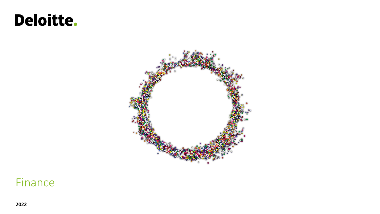# Deloitte.



### Finance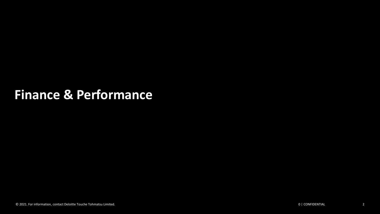### **Finance & Performance**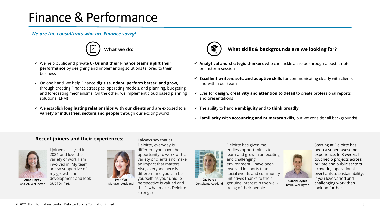### Finance & Performance

#### *We are the consultants who are Finance savvy!*



- ✓ We help public and private **CFOs and their Finance teams uplift their performance** by designing and implementing solutions tailored to their business
- ✓ On one hand, we help Finance **digitise, adapt, perform better, and grow**, through creating Finance strategies, operating models, and planning, budgeting, and forecasting mechanisms. On the other, we implement cloud based planning solutions (EPM)
- ✓ We establish **long lasting relationships with our clients** and are exposed to a **variety of industries, sectors and people** through our exciting work!



#### **What we do: What skills & backgrounds are we looking for? What skills & backgrounds are we looking for?**

- ✓ **Analytical and strategic thinkers** who can tackle an issue through a post-it note brainstorm session
- ✓ **Excellent written, soft, and adaptive skills** for communicating clearly with clients and within our team
- ✓ Eyes for **design, creativity and attention to detail** to create professional reports and presentations
- ✓ The ability to handle **ambiguity** and to **think broadly**
- ✓ **Familiarity with accounting and numeracy skills**, but we consider all backgrounds!

**Gabriel Dykes** Intern, Wellington

#### **Recent joiners and their experiences:**



I joined as a grad in 2021 and love the variety of work I am involved in. My team are so supportive of my growth and development and look out for me.



I always say that at Deloitte, everyday is different, you have the opportunity to work with a variety of clients and make an impact that matters. Also, everyone here is different and you can be yourself, as your unique perspective is valued and that's what makes Deloitte stronger.



Deloitte has given me endless opportunities to learn and grow in an exciting and challenging environment. I have been involved in sports teams, social events and community initiatives thanks to their genuine interest in the wellbeing of their people.

Starting at Deloitte has been a super awesome experience. In 8 weeks, I touched 5 projects across private and public sectors - covering operational overhauls to sustainability. If you love varied and challenging work then look no further.